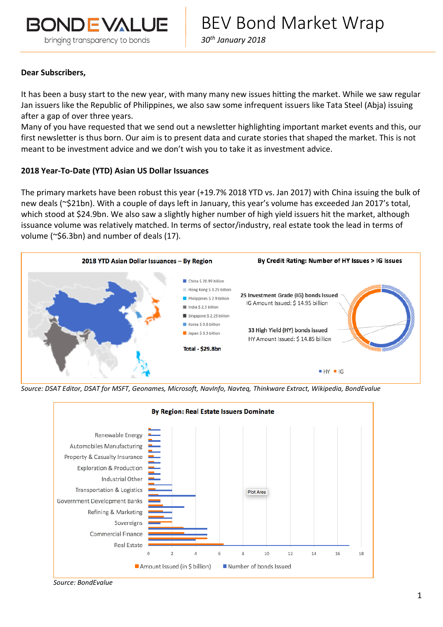

*30th January 2018*

## **Dear Subscribers,**

It has been a busy start to the new year, with many many new issues hitting the market. While we saw regular Jan issuers like the Republic of Philippines, we also saw some infrequent issuers like Tata Steel (Abja) issuing after a gap of over three years.

Many of you have requested that we send out a newsletter highlighting important market events and this, our first newsletter is thus born. Our aim is to present data and curate stories that shaped the market. This is not meant to be investment advice and we don't wish you to take it as investment advice.

## **2018 Year-To-Date (YTD) Asian US Dollar Issuances**

The primary markets have been robust this year (+19.7% 2018 YTD vs. Jan 2017) with China issuing the bulk of new deals (~\$21bn). With a couple of days left in January, this year's volume has exceeded Jan 2017's total, which stood at \$24.9bn. We also saw a slightly higher number of high yield issuers hit the market, although issuance volume was relatively matched. In terms of sector/industry, real estate took the lead in terms of volume (~\$6.3bn) and number of deals (17).



*Source: DSAT Editor, DSAT for MSFT, Geonames, Microsoft, NavInfo, Navteq, Thinkware Extract, Wikipedia, BondEvalue*



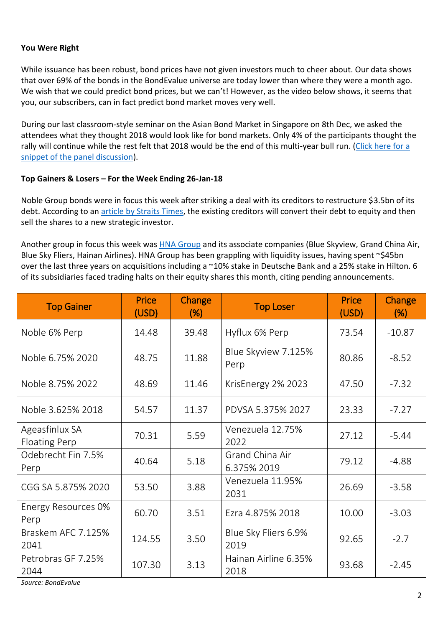# **You Were Right**

While issuance has been robust, bond prices have not given investors much to cheer about. Our data shows that over 69% of the bonds in the BondEvalue universe are today lower than where they were a month ago. We wish that we could predict bond prices, but we can't! However, as the video below shows, it seems that you, our subscribers, can in fact predict bond market moves very well.

During our last classroom-style seminar on the Asian Bond Market in Singapore on 8th Dec, we asked the attendees what they thought 2018 would look like for bond markets. Only 4% of the participants thought the rally will continue while the rest felt that 2018 would be the end of this multi-year bull run. [\(Click here for a](https://vimeo.com/252839031)  [snippet of the panel discussion\)](https://vimeo.com/252839031).

## **Top Gainers & Losers – For the Week Ending 26-Jan-18**

Noble Group bonds were in focus this week after striking a deal with its creditors to restructure \$3.5bn of its debt. According to an [article by Straits Times,](http://www.straitstimes.com/business/companies-markets/noble-says-talks-with-creditors-investors-constructive) the existing creditors will convert their debt to equity and then sell the shares to a new strategic investor.

Another group in focus this week was **HNA Group** and its associate companies (Blue Skyview, Grand China Air, Blue Sky Fliers, Hainan Airlines). HNA Group has been grappling with liquidity issues, having spent ~\$45bn over the last three years on acquisitions including a ~10% stake in Deutsche Bank and a 25% stake in Hilton. 6 of its subsidiaries faced trading halts on their equity shares this month, citing pending announcements.

| <b>Top Gainer</b>                      | <b>Price</b><br>(USD) | <b>Change</b><br>(% ) | <b>Top Loser</b>               | <b>Price</b><br>(USD) | Change<br>(% ) |
|----------------------------------------|-----------------------|-----------------------|--------------------------------|-----------------------|----------------|
| Noble 6% Perp                          | 14.48                 | 39.48                 | Hyflux 6% Perp                 | 73.54                 | $-10.87$       |
| Noble 6.75% 2020                       | 48.75                 | 11.88                 | Blue Skyview 7.125%<br>Perp    | 80.86                 | $-8.52$        |
| Noble 8.75% 2022                       | 48.69                 | 11.46                 | KrisEnergy 2% 2023             | 47.50                 | $-7.32$        |
| Noble 3.625% 2018                      | 54.57                 | 11.37                 | PDVSA 5.375% 2027              | 23.33                 | $-7.27$        |
| Ageasfinlux SA<br><b>Floating Perp</b> | 70.31                 | 5.59                  | Venezuela 12.75%<br>2022       | 27.12                 | $-5.44$        |
| Odebrecht Fin 7.5%<br>Perp             | 40.64                 | 5.18                  | Grand China Air<br>6.375% 2019 | 79.12                 | $-4.88$        |
| CGG SA 5.875% 2020                     | 53.50                 | 3.88                  | Venezuela 11.95%<br>2031       | 26.69                 | $-3.58$        |
| Energy Resources 0%<br>Perp            | 60.70                 | 3.51                  | Ezra 4.875% 2018               | 10.00                 | $-3.03$        |
| Braskem AFC 7.125%<br>2041             | 124.55                | 3.50                  | Blue Sky Fliers 6.9%<br>2019   | 92.65                 | $-2.7$         |
| Petrobras GF 7.25%<br>2044             | 107.30                | 3.13                  | Hainan Airline 6.35%<br>2018   | 93.68                 | $-2.45$        |

*Source: BondEvalue*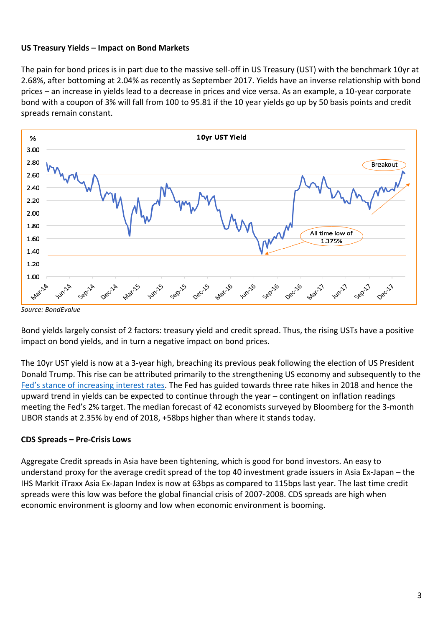# **US Treasury Yields – Impact on Bond Markets**

The pain for bond prices is in part due to the massive sell-off in US Treasury (UST) with the benchmark 10yr at 2.68%, after bottoming at 2.04% as recently as September 2017. Yields have an inverse relationship with bond prices – an increase in yields lead to a decrease in prices and vice versa. As an example, a 10-year corporate bond with a coupon of 3% will fall from 100 to 95.81 if the 10 year yields go up by 50 basis points and credit spreads remain constant.



*Source: BondEvalue*

Bond yields largely consist of 2 factors: treasury yield and credit spread. Thus, the rising USTs have a positive impact on bond yields, and in turn a negative impact on bond prices.

The 10yr UST yield is now at a 3-year high, breaching its previous peak following the election of US President Donald Trump. This rise can be attributed primarily to the strengthening US economy and subsequently to the [Fed's stance of increasing interest rates](https://bondevalue.com/news/fed-december-statement-confirms-support-continued-gradual-rate-hikes/). The Fed has guided towards three rate hikes in 2018 and hence the upward trend in yields can be expected to continue through the year – contingent on inflation readings meeting the Fed's 2% target. The median forecast of 42 economists surveyed by Bloomberg for the 3-month LIBOR stands at 2.35% by end of 2018, +58bps higher than where it stands today.

# **CDS Spreads – Pre-Crisis Lows**

Aggregate Credit spreads in Asia have been tightening, which is good for bond investors. An easy to understand proxy for the average credit spread of the top 40 investment grade issuers in Asia Ex-Japan – the IHS Markit iTraxx Asia Ex-Japan Index is now at 63bps as compared to 115bps last year. The last time credit spreads were this low was before the global financial crisis of 2007-2008. CDS spreads are high when economic environment is gloomy and low when economic environment is booming.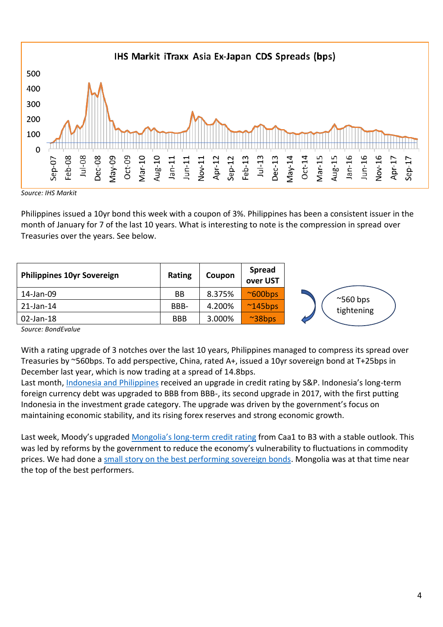

*Source: IHS Markit*

Philippines issued a 10yr bond this week with a coupon of 3%. Philippines has been a consistent issuer in the month of January for 7 of the last 10 years. What is interesting to note is the compression in spread over Treasuries over the years. See below.

| <b>Philippines 10yr Sovereign</b> | <b>Rating</b> | Coupon | <b>Spread</b><br>over UST |                   |
|-----------------------------------|---------------|--------|---------------------------|-------------------|
| 14-Jan-09                         | BB            | 8.375% | $^{\sim}600bps$           | $^{\sim}$ 560 bps |
| 21-Jan-14                         | BBB-          | 4.200% | $^{\sim}$ 145bps          | tightening        |
| 02-Jan-18                         | <b>BBB</b>    | 3.000% | $~\sim$ 38bps             |                   |

*Source: BondEvalue*

With a rating upgrade of 3 notches over the last 10 years, Philippines managed to compress its spread over Treasuries by ~560bps. To add perspective, China, rated A+, issued a 10yr sovereign bond at T+25bps in December last year, which is now trading at a spread of 14.8bps.

Last month, [Indonesia and Philippines](https://bondevalue.com/news/fitch-upgrades-indonesia-stability-strong-reserves-growth/) received an upgrade in credit rating by S&P. Indonesia's long-term foreign currency debt was upgraded to BBB from BBB-, its second upgrade in 2017, with the first putting Indonesia in the investment grade category. The upgrade was driven by the government's focus on maintaining economic stability, and its rising forex reserves and strong economic growth.

Last week, Moody's upgraded Mongolia's long[-term credit rating](https://www.moodys.com/research/Moodys-upgrades-Mongolias-rating-to-B3-outlook-stable--PR_377740) from Caa1 to B3 with a stable outlook. This was led by reforms by the government to reduce the economy's vulnerability to fluctuations in commodity prices. We had done a [small story on the best performing sovereign bonds.](https://bondevalue.com/news/egypt-mongolia-argentina-lead-em-sovereign-bonds-rally/) Mongolia was at that time near the top of the best performers.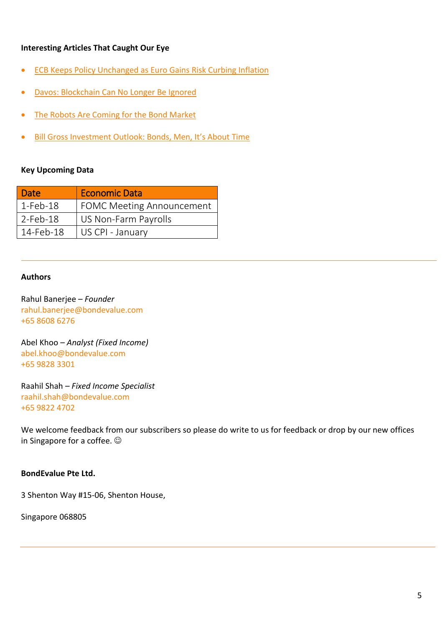# **Interesting Articles That Caught Our Eye**

- [ECB Keeps Policy Unchanged as Euro Gains](https://www.bloomberg.com/news/articles/2018-01-25/ecb-keeps-policy-unchanged-as-euro-gains-risk-curbing-inflation) Risk Curbing Inflation
- [Davos: Blockchain Can No Longer Be Ignored](https://www.swissinfo.ch/eng/bubble-or-benefit-_davos--blockchain-can-no-longer-be-ignored/43849736)
- [The Robots Are Coming for the Bond Market](https://www.bloomberg.com/news/articles/2018-01-19/machines-are-encroaching-on-bond-markets-last-line-of-resistance)
- Bill Gross Investment Outl[ook: Bonds, Men, It's About Time](https://en-us.janushenderson.com/advisor/bill-gross-investment-outlook-bonds-men-its-about-time/#content)

## **Key Upcoming Data**

| <b>Date</b> | <b>Economic Data</b>             |
|-------------|----------------------------------|
| $1-Feb-18$  | <b>FOMC Meeting Announcement</b> |
| $2$ -Feb-18 | US Non-Farm Payrolls             |
| 14-Feb-18   | US CPI - January                 |

## **Authors**

Rahul Banerjee – *Founder* [rahul.banerjee@bondevalue.com](mailto:Rahul.Banerjee@bondevalue.com) +65 8608 6276

Abel Khoo – *Analyst (Fixed Income)* [abel.khoo@bondevalue.com](mailto:Abel.Khoo@bondevalue.com) +65 9828 3301

Raahil Shah – *Fixed Income Specialist* [raahil.shah@bondevalue.com](mailto:Raahil.Shah@bondevalue.com) +65 9822 4702

We welcome feedback from our subscribers so please do write to us for feedback or drop by our new offices in Singapore for a coffee.  $\odot$ 

## **BondEvalue Pte Ltd.**

3 Shenton Way #15-06, Shenton House,

Singapore 068805